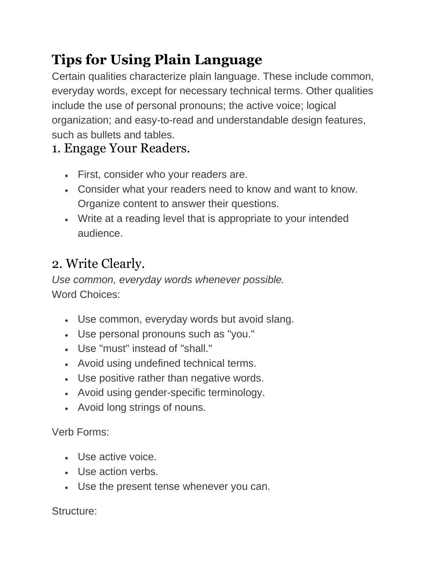# **Tips for Using Plain Language**

Certain qualities characterize plain language. These include common, everyday words, except for necessary technical terms. Other qualities include the use of personal pronouns; the active voice; logical organization; and easy-to-read and understandable design features, such as bullets and tables.

#### 1. Engage Your Readers.

- First, consider who your readers are.
- Consider what your readers need to know and want to know. Organize content to answer their questions.
- Write at a reading level that is appropriate to your intended audience.

### 2. Write Clearly.

*Use common, everyday words whenever possible.* Word Choices:

- Use common, everyday words but avoid slang.
- Use personal pronouns such as "you."
- Use "must" instead of "shall."
- Avoid using undefined technical terms.
- Use positive rather than negative words.
- Avoid using gender-specific terminology.
- Avoid long strings of nouns.

Verb Forms:

- Use active voice.
- Use action verbs.
- Use the present tense whenever you can.

Structure: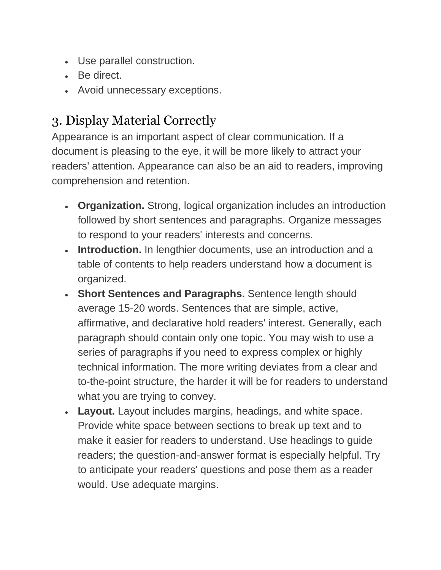- Use parallel construction.
- Be direct.
- Avoid unnecessary exceptions.

## 3. Display Material Correctly

Appearance is an important aspect of clear communication. If a document is pleasing to the eye, it will be more likely to attract your readers' attention. Appearance can also be an aid to readers, improving comprehension and retention.

- **Organization.** Strong, logical organization includes an introduction followed by short sentences and paragraphs. Organize messages to respond to your readers' interests and concerns.
- **Introduction.** In lengthier documents, use an introduction and a table of contents to help readers understand how a document is organized.
- **Short Sentences and Paragraphs.** Sentence length should average 15-20 words. Sentences that are simple, active, affirmative, and declarative hold readers' interest. Generally, each paragraph should contain only one topic. You may wish to use a series of paragraphs if you need to express complex or highly technical information. The more writing deviates from a clear and to-the-point structure, the harder it will be for readers to understand what you are trying to convey.
- **Layout.** Layout includes margins, headings, and white space. Provide white space between sections to break up text and to make it easier for readers to understand. Use headings to guide readers; the question-and-answer format is especially helpful. Try to anticipate your readers' questions and pose them as a reader would. Use adequate margins.